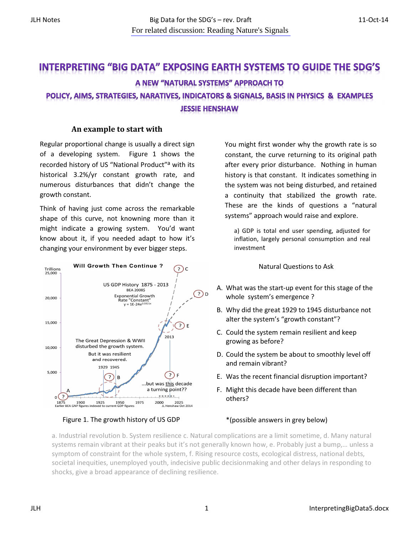# **INTERPRETING "BIG DATA" EXPOSING EARTH SYSTEMS TO GUIDE THE SDG'S** A NEW "NATURAL SYSTEMS" APPROACH TO POLICY, AIMS, STRATEGIES, NARATIVES, INDICATORS & SIGNALS, BASIS IN PHYSICS & EXAMPLES **JESSIE HENSHAW**

## An example to start with

Regular proportional change is usually a direct sign of a developing system. Figure 1 shows the recorded history of US "National Product"<sup>a</sup> with its historical 3.2%/yr constant growth rate, and numerous disturbances that didn't change the growth constant.

Think of having just come across the remarkable shape of this curve, not knowning more than it might indicate a growing system. You'd want know about it, if you needed adapt to how it's changing your environment by ever bigger steps.



Figure 1. The growth history of US GDP

You might first wonder why the growth rate is so constant, the curve returning to its original path after every prior disturbance. Nothing in human history is that constant. It indicates something in the system was not being disturbed, and retained a continuity that stabilized the growth rate. These are the kinds of questions a "natural systems" approach would raise and explore.

a) GDP is total end user spending, adjusted for inflation, largely personal consumption and real investment

#### Natural Questions to Ask

- A. What was the start-up event for this stage of the whole system's emergence ?
- B. Why did the great 1929 to 1945 disturbance not alter the system's "growth constant"?
- C. Could the system remain resilient and keep growing as before?
- D. Could the system be about to smoothly level off and remain vibrant?
- E. Was the recent financial disruption important?
- F. Might this decade have been different than others?

### \*(possible answers in grey below)

a. Industrial revolution b. System resilience c. Natural complications are a limit sometime, d. Many natural systems remain vibrant at their peaks but it's not generally known how, e. Probably just a bump,… unless a symptom of constraint for the whole system, f. Rising resource costs, ecological distress, national debts, societal inequities, unemployed youth, indecisive public decisionmaking and other delays in responding to shocks, give a broad appearance of declining resilience.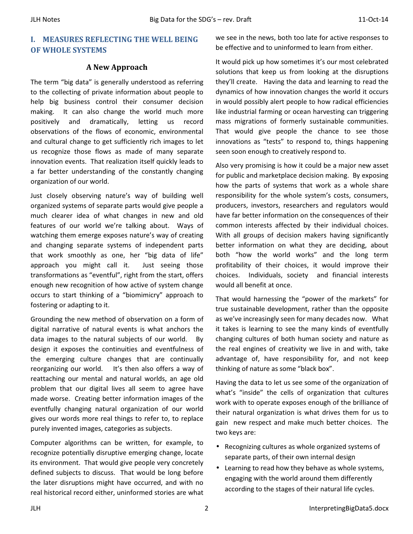## I. MEASURES REFLECTING THE WELL BEING OF WHOLE SYSTEMS

## A New Approach

The term "big data" is generally understood as referring to the collecting of private information about people to help big business control their consumer decision making. It can also change the world much more positively and dramatically, letting us record observations of the flows of economic, environmental and cultural change to get sufficiently rich images to let us recognize those flows as made of many separate innovation events. That realization itself quickly leads to a far better understanding of the constantly changing organization of our world.

Just closely observing nature's way of building well organized systems of separate parts would give people a much clearer idea of what changes in new and old features of our world we're talking about. Ways of watching them emerge exposes nature's way of creating and changing separate systems of independent parts that work smoothly as one, her "big data of life" approach you might call it. Just seeing those transformations as "eventful", right from the start, offers enough new recognition of how active of system change occurs to start thinking of a "biomimicry" approach to fostering or adapting to it.

Grounding the new method of observation on a form of digital narrative of natural events is what anchors the data images to the natural subjects of our world. By design it exposes the continuities and eventfulness of the emerging culture changes that are continually reorganizing our world. It's then also offers a way of reattaching our mental and natural worlds, an age old problem that our digital lives all seem to agree have made worse. Creating better information images of the eventfully changing natural organization of our world gives our words more real things to refer to, to replace purely invented images, categories as subjects.

Computer algorithms can be written, for example, to recognize potentially disruptive emerging change, locate its environment. That would give people very concretely defined subjects to discuss. That would be long before the later disruptions might have occurred, and with no real historical record either, uninformed stories are what we see in the news, both too late for active responses to be effective and to uninformed to learn from either.

It would pick up how sometimes it's our most celebrated solutions that keep us from looking at the disruptions they'll create. Having the data and learning to read the dynamics of how innovation changes the world it occurs in would possibly alert people to how radical efficiencies like industrial farming or ocean harvesting can triggering mass migrations of formerly sustainable communities. That would give people the chance to see those innovations as "tests" to respond to, things happening seen soon enough to creatively respond to.

Also very promising is how it could be a major new asset for public and marketplace decision making. By exposing how the parts of systems that work as a whole share responsibility for the whole system's costs, consumers, producers, investors, researchers and regulators would have far better information on the consequences of their common interests affected by their individual choices. With all groups of decision makers having significantly better information on what they are deciding, about both "how the world works" and the long term profitability of their choices, it would improve their choices. Individuals, society and financial interests would all benefit at once.

That would harnessing the "power of the markets" for true sustainable development, rather than the opposite as we've increasingly seen for many decades now. What it takes is learning to see the many kinds of eventfully changing cultures of both human society and nature as the real engines of creativity we live in and with, take advantage of, have responsibility for, and not keep thinking of nature as some "black box".

Having the data to let us see some of the organization of what's "inside" the cells of organization that cultures work with to operate exposes enough of the brilliance of their natural organization is what drives them for us to gain new respect and make much better choices. The two keys are:

- Recognizing cultures as whole organized systems of separate parts, of their own internal design
- Learning to read how they behave as whole systems, engaging with the world around them differently according to the stages of their natural life cycles.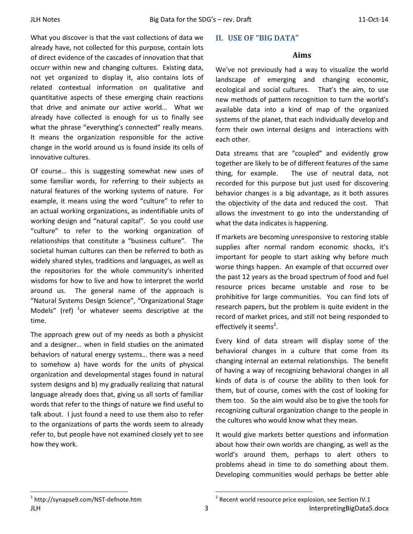What you discover is that the vast collections of data we already have, not collected for this purpose, contain lots of direct evidence of the cascades of innovation that that occurr within new and changing cultures. Existing data, not yet organized to display it, also contains lots of related contextual information on qualitative and quantitative aspects of these emerging chain reactions that drive and animate our active world… What we already have collected is enough for us to finally see what the phrase "everything's connected" really means. It means the organization responsible for the active change in the world around us is found inside its cells of innovative cultures.

Of course… this is suggesting somewhat new uses of some familiar words, for referring to their subjects as natural features of the working systems of nature. For example, it means using the word "culture" to refer to an actual working organizations, as indentifiable units of working design and "natural capital". So you could use "culture" to refer to the working organization of relationships that constitute a "business culture". The societal human cultures can then be referred to both as widely shared styles, traditions and languages, as well as the repositories for the whole community's inherited wisdoms for how to live and how to interpret the world around us. The general name of the approach is "Natural Systems Design Science", "Organizational Stage Models" (ref)  $1$ or whatever seems descriptive at the time.

The approach grew out of my needs as both a physicist and a designer… when in field studies on the animated behaviors of natural energy systems… there was a need to somehow a) have words for the units of physical organization and developmental stages found in natural system designs and b) my gradually realizing that natural language already does that, giving us all sorts of familiar words that refer to the things of nature we find useful to talk about. I just found a need to use them also to refer to the organizations of parts the words seem to already refer to, but people have not examined closely yet to see how they work.

## II. USE OF "BIG DATA"

#### Aims

We've not previously had a way to visualize the world landscape of emerging and changing economic, ecological and social cultures. That's the aim, to use new methods of pattern recognition to turn the world's available data into a kind of map of the organized systems of the planet, that each individually develop and form their own internal designs and interactions with each other.

Data streams that are "coupled" and evidently grow together are likely to be of different features of the same thing, for example. The use of neutral data, not recorded for this purpose but just used for discovering behavior changes is a big advantage, as it both assures the objectivity of the data and reduced the cost. That allows the investment to go into the understanding of what the data indicates is happening.

If markets are becoming unresponsive to restoring stable supplies after normal random economic shocks, it's important for people to start asking why before much worse things happen. An example of that occurred over the past 12 years as the broad spectrum of food and fuel resource prices became unstable and rose to be prohibitive for large communities. You can find lots of research papers, but the problem is quite evident in the record of market prices, and still not being responded to effectively it seems<sup>2</sup>.

Every kind of data stream will display some of the behavioral changes in a culture that come from its changing internal an external relationships. The benefit of having a way of recognizing behavioral changes in all kinds of data is of course the ability to then look for them, but of course, comes with the cost of looking for them too. So the aim would also be to give the tools for recognizing cultural organization change to the people in the cultures who would know what they mean.

It would give markets better questions and information about how their own worlds are changing, as well as the world's around them, perhaps to alert others to problems ahead in time to do something about them. Developing communities would perhaps be better able

<sup>-</sup>1 http://synapse9.com/NST-defnote.htm

JLH 3 InterpretingBigData5.docx - $2$  Recent world resource price explosion, see Section IV.1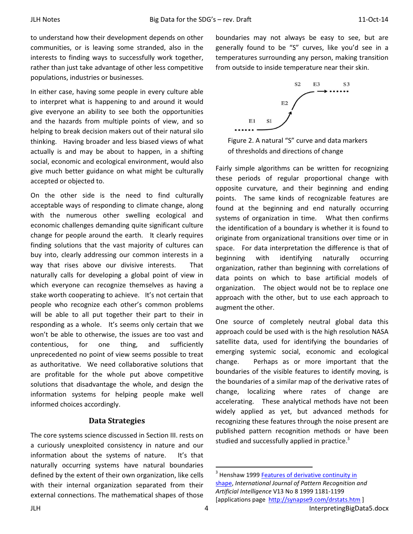to understand how their development depends on other communities, or is leaving some stranded, also in the interests to finding ways to successfully work together, rather than just take advantage of other less competitive populations, industries or businesses.

In either case, having some people in every culture able to interpret what is happening to and around it would give everyone an ability to see both the opportunities and the hazards from multiple points of view, and so helping to break decision makers out of their natural silo thinking. Having broader and less biased views of what actually is and may be about to happen, in a shifting social, economic and ecological environment, would also give much better guidance on what might be culturally accepted or objected to.

On the other side is the need to find culturally acceptable ways of responding to climate change, along with the numerous other swelling ecological and economic challenges demanding quite significant culture change for people around the earth. It clearly requires finding solutions that the vast majority of cultures can buy into, clearly addressing our common interests in a way that rises above our divisive interests. That naturally calls for developing a global point of view in which everyone can recognize themselves as having a stake worth cooperating to achieve. It's not certain that people who recognize each other's common problems will be able to all put together their part to their in responding as a whole. It's seems only certain that we won't be able to otherwise, the issues are too vast and contentious, for one thing, and sufficiently unprecedented no point of view seems possible to treat as authoritative. We need collaborative solutions that are profitable for the whole put above competitive solutions that disadvantage the whole, and design the information systems for helping people make well informed choices accordingly.

## Data Strategies

The core systems science discussed in Section III. rests on a curiously unexploited consistency in nature and our information about the systems of nature. It's that naturally occurring systems have natural boundaries defined by the extent of their own organization, like cells with their internal organization separated from their external connections. The mathematical shapes of those

boundaries may not always be easy to see, but are generally found to be "S" curves, like you'd see in a temperatures surrounding any person, making transition from outside to inside temperature near their skin.



Figure 2. A natural "S" curve and data markers of thresholds and directions of change

Fairly simple algorithms can be written for recognizing these periods of regular proportional change with opposite curvature, and their beginning and ending points. The same kinds of recognizable features are found at the beginning and end naturally occurring systems of organization in time. What then confirms the identification of a boundary is whether it is found to originate from organizational transitions over time or in space. For data interpretation the difference is that of beginning with identifying naturally occurring organization, rather than beginning with correlations of data points on which to base artificial models of organization. The object would not be to replace one approach with the other, but to use each approach to augment the other.

One source of completely neutral global data this approach could be used with is the high resolution NASA satellite data, used for identifying the boundaries of emerging systemic social, economic and ecological change. Perhaps as or more important that the boundaries of the visible features to identify moving, is the boundaries of a similar map of the derivative rates of change, localizing where rates of change are accelerating. These analytical methods have not been widely applied as yet, but advanced methods for recognizing these features through the noise present are published pattern recognition methods or have been studied and successfully applied in practice.<sup>3</sup>

<u>.</u>

<sup>&</sup>lt;sup>3</sup> Henshaw 1999 **Features of derivative continuity in** shape, International Journal of Pattern Recognition and Artificial Intelligence V13 No 8 1999 1181-1199 [applications page http://synapse9.com/drstats.htm ]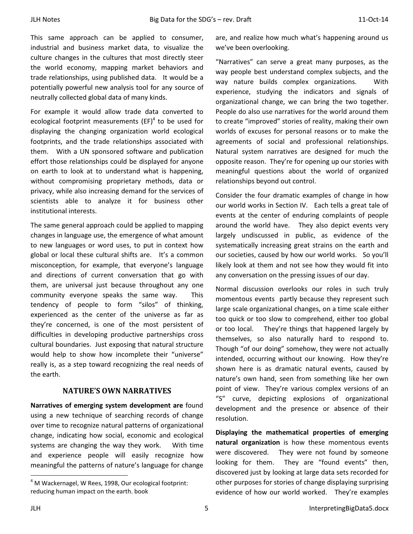This same approach can be applied to consumer, industrial and business market data, to visualize the culture changes in the cultures that most directly steer the world economy, mapping market behaviors and trade relationships, using published data. It would be a potentially powerful new analysis tool for any source of neutrally collected global data of many kinds.

For example it would allow trade data converted to ecological footprint measurements  $(EF)^4$  to be used for displaying the changing organization world ecological footprints, and the trade relationships associated with them. With a UN sponsored software and publication effort those relationships could be displayed for anyone on earth to look at to understand what is happening, without compromising proprietary methods, data or privacy, while also increasing demand for the services of scientists able to analyze it for business other institutional interests.

The same general approach could be applied to mapping changes in language use, the emergence of what amount to new languages or word uses, to put in context how global or local these cultural shifts are. It's a common misconception, for example, that everyone's language and directions of current conversation that go with them, are universal just because throughout any one community everyone speaks the same way. This tendency of people to form "silos" of thinking, experienced as the center of the universe as far as they're concerned, is one of the most persistent of difficulties in developing productive partnerships cross cultural boundaries. Just exposing that natural structure would help to show how incomplete their "universe" really is, as a step toward recognizing the real needs of the earth.

## NATURE'S OWN NARRATIVES

Narratives of emerging system development are found using a new technique of searching records of change over time to recognize natural patterns of organizational change, indicating how social, economic and ecological systems are changing the way they work. With time and experience people will easily recognize how meaningful the patterns of nature's language for change are, and realize how much what's happening around us we've been overlooking.

"Narratives" can serve a great many purposes, as the way people best understand complex subjects, and the way nature builds complex organizations. With experience, studying the indicators and signals of organizational change, we can bring the two together. People do also use narratives for the world around them to create "improved" stories of reality, making their own worlds of excuses for personal reasons or to make the agreements of social and professional relationships. Natural system narratives are designed for much the opposite reason. They're for opening up our stories with meaningful questions about the world of organized relationships beyond out control.

Consider the four dramatic examples of change in how our world works in Section IV. Each tells a great tale of events at the center of enduring complaints of people around the world have. They also depict events very largely undiscussed in public, as evidence of the systematically increasing great strains on the earth and our societies, caused by how our world works. So you'll likely look at them and not see how they would fit into any conversation on the pressing issues of our day.

Normal discussion overlooks our roles in such truly momentous events partly because they represent such large scale organizational changes, on a time scale either too quick or too slow to comprehend, either too global or too local. They're things that happened largely by themselves, so also naturally hard to respond to. Though "of our doing" somehow, they were not actually intended, occurring without our knowing. How they're shown here is as dramatic natural events, caused by nature's own hand, seen from something like her own point of view. They're various complex versions of an "S" curve, depicting explosions of organizational development and the presence or absence of their resolution.

Displaying the mathematical properties of emerging natural organization is how these momentous events were discovered. They were not found by someone looking for them. They are "found events" then, discovered just by looking at large data sets recorded for other purposes for stories of change displaying surprising evidence of how our world worked. They're examples

-

 $<sup>4</sup>$  M Wackernagel, W Rees, 1998, Our ecological footprint:</sup> reducing human impact on the earth. book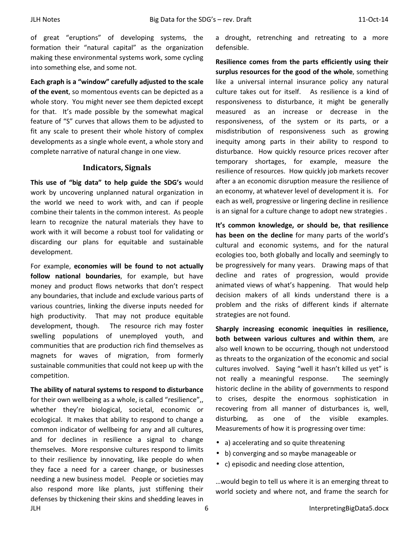of great "eruptions" of developing systems, the formation their "natural capital" as the organization making these environmental systems work, some cycling into something else, and some not.

Each graph is a "window" carefully adjusted to the scale of the event, so momentous events can be depicted as a whole story. You might never see them depicted except for that. It's made possible by the somewhat magical feature of "S" curves that allows them to be adjusted to fit any scale to present their whole history of complex developments as a single whole event, a whole story and complete narrative of natural change in one view.

#### Indicators, Signals

This use of "big data" to help guide the SDG's would work by uncovering unplanned natural organization in the world we need to work with, and can if people combine their talents in the common interest. As people learn to recognize the natural materials they have to work with it will become a robust tool for validating or discarding our plans for equitable and sustainable development.

For example, economies will be found to not actually follow national boundaries, for example, but have money and product flows networks that don't respect any boundaries, that include and exclude various parts of various countries, linking the diverse inputs needed for high productivity. That may not produce equitable development, though. The resource rich may foster swelling populations of unemployed youth, and communities that are production rich find themselves as magnets for waves of migration, from formerly sustainable communities that could not keep up with the competition.

JLH 6 InterpretingBigData5.docx The ability of natural systems to respond to disturbance for their own wellbeing as a whole, is called "resilience", whether they're biological, societal, economic or ecological. It makes that ability to respond to change a common indicator of wellbeing for any and all cultures, and for declines in resilience a signal to change themselves. More responsive cultures respond to limits to their resilience by innovating, like people do when they face a need for a career change, or businesses needing a new business model. People or societies may also respond more like plants, just stiffening their defenses by thickening their skins and shedding leaves in

a drought, retrenching and retreating to a more defensible.

Resilience comes from the parts efficiently using their surplus resources for the good of the whole, something like a universal internal insurance policy any natural culture takes out for itself. As resilience is a kind of responsiveness to disturbance, it might be generally measured as an increase or decrease in the responsiveness, of the system or its parts, or a misdistribution of responsiveness such as growing inequity among parts in their ability to respond to disturbance. How quickly resource prices recover after temporary shortages, for example, measure the resilience of resources. How quickly job markets recover after a an economic disruption measure the resilience of an economy, at whatever level of development it is. For each as well, progressive or lingering decline in resilience is an signal for a culture change to adopt new strategies .

It's common knowledge, or should be, that resilience has been on the decline for many parts of the world's cultural and economic systems, and for the natural ecologies too, both globally and locally and seemingly to be progressively for many years. Drawing maps of that decline and rates of progression, would provide animated views of what's happening. That would help decision makers of all kinds understand there is a problem and the risks of different kinds if alternate strategies are not found.

Sharply increasing economic inequities in resilience, both between various cultures and within them, are also well known to be occurring, though not understood as threats to the organization of the economic and social cultures involved. Saying "well it hasn't killed us yet" is not really a meaningful response. The seemingly historic decline in the ability of governments to respond to crises, despite the enormous sophistication in recovering from all manner of disturbances is, well, disturbing, as one of the visible examples. Measurements of how it is progressing over time:

- a) accelerating and so quite threatening
- b) converging and so maybe manageable or
- c) episodic and needing close attention,

…would begin to tell us where it is an emerging threat to world society and where not, and frame the search for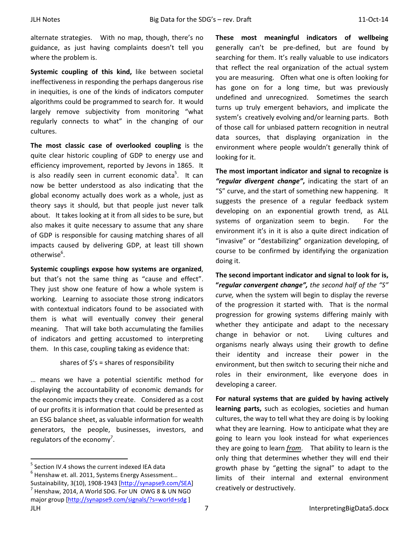alternate strategies. With no map, though, there's no guidance, as just having complaints doesn't tell you where the problem is.

Systemic coupling of this kind, like between societal ineffectiveness in responding the perhaps dangerous rise in inequities, is one of the kinds of indicators computer algorithms could be programmed to search for. It would largely remove subjectivity from monitoring "what regularly connects to what" in the changing of our cultures.

The most classic case of overlooked coupling is the quite clear historic coupling of GDP to energy use and efficiency improvement, reported by Jevons in 1865. It is also readily seen in current economic data<sup>5</sup>. It can now be better understood as also indicating that the global economy actually does work as a whole, just as theory says it should, but that people just never talk about. It takes looking at it from all sides to be sure, but also makes it quite necessary to assume that any share of GDP is responsible for causing matching shares of all impacts caused by delivering GDP, at least till shown otherwise $6$ .

Systemic couplings expose how systems are organized, but that's not the same thing as "cause and effect". They just show one feature of how a whole system is working. Learning to associate those strong indicators with contextual indicators found to be associated with them is what will eventually convey their general meaning. That will take both accumulating the families of indicators and getting accustomed to interpreting them. In this case, coupling taking as evidence that:

#### shares of  $\frac{2}{5}$ 's = shares of responsibility

… means we have a potential scientific method for displaying the accountability of economic demands for the economic impacts they create. Considered as a cost of our profits it is information that could be presented as an ESG balance sheet, as valuable information for wealth generators, the people, businesses, investors, and regulators of the economy<sup>7</sup>.

 $<sup>5</sup>$  Section IV.4 shows the current indexed IEA data</sup>

-

 $<sup>6</sup>$  Henshaw et. all. 2011, Systems Energy Assessment...</sup> Sustainability, 3(10), 1908-1943 [http://synapse9.com/SEA] <sup>7</sup> Henshaw, 2014, A World SDG. For UN OWG 8 & UN NGO major group [http://synapse9.com/signals/?s=world+sdg ]

These most meaningful indicators of wellbeing generally can't be pre-defined, but are found by searching for them. It's really valuable to use indicators that reflect the real organization of the actual system you are measuring. Often what one is often looking for has gone on for a long time, but was previously undefined and unrecognized. Sometimes the search turns up truly emergent behaviors, and implicate the system's creatively evolving and/or learning parts. Both of those call for unbiased pattern recognition in neutral data sources, that displaying organization in the environment where people wouldn't generally think of looking for it.

The most important indicator and signal to recognize is "regular divergent change", indicating the start of an "S" curve, and the start of something new happening. It suggests the presence of a regular feedback system developing on an exponential growth trend, as ALL systems of organization seem to begin. For the environment it's in it is also a quite direct indication of "invasive" or "destabilizing" organization developing, of course to be confirmed by identifying the organization doing it.

The second important indicator and signal to look for is, "regular convergent change", the second half of the "S" curve, when the system will begin to display the reverse of the progression it started with. That is the normal progression for growing systems differing mainly with whether they anticipate and adapt to the necessary change in behavior or not. Living cultures and organisms nearly always using their growth to define their identity and increase their power in the environment, but then switch to securing their niche and roles in their environment, like everyone does in developing a career.

For natural systems that are guided by having actively learning parts, such as ecologies, societies and human cultures, the way to tell what they are doing is by looking what they are learning. How to anticipate what they are going to learn you look instead for what experiences they are going to learn from. That ability to learn is the only thing that determines whether they will end their growth phase by "getting the signal" to adapt to the limits of their internal and external environment creatively or destructively.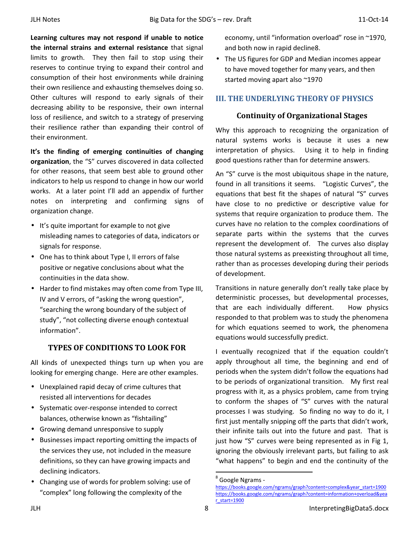Learning cultures may not respond if unable to notice the internal strains and external resistance that signal limits to growth. They then fail to stop using their reserves to continue trying to expand their control and consumption of their host environments while draining their own resilience and exhausting themselves doing so. Other cultures will respond to early signals of their decreasing ability to be responsive, their own internal loss of resilience, and switch to a strategy of preserving their resilience rather than expanding their control of their environment.

It's the finding of emerging continuities of changing organization, the "S" curves discovered in data collected for other reasons, that seem best able to ground other indicators to help us respond to change in how our world works. At a later point I'll add an appendix of further notes on interpreting and confirming signs of organization change.

- It's quite important for example to not give misleading names to categories of data, indicators or signals for response.
- One has to think about Type I, II errors of false positive or negative conclusions about what the continuities in the data show.
- Harder to find mistakes may often come from Type III, IV and V errors, of "asking the wrong question", "searching the wrong boundary of the subject of study", "not collecting diverse enough contextual information".

## TYPES OF CONDITIONS TO LOOK FOR

All kinds of unexpected things turn up when you are looking for emerging change. Here are other examples.

- Unexplained rapid decay of crime cultures that resisted all interventions for decades
- Systematic over-response intended to correct balances, otherwise known as "fishtailing"
- Growing demand unresponsive to supply
- Businesses impact reporting omitting the impacts of the services they use, not included in the measure definitions, so they can have growing impacts and declining indicators.
- Changing use of words for problem solving: use of "complex" long following the complexity of the

economy, until "information overload" rose in ~1970, and both now in rapid decline8.

• The US figures for GDP and Median incomes appear to have moved together for many years, and then started moving apart also ~1970

## III. THE UNDERLYING THEORY OF PHYSICS

## Continuity of Organizational Stages

Why this approach to recognizing the organization of natural systems works is because it uses a new interpretation of physics. Using it to help in finding good questions rather than for determine answers.

An "S" curve is the most ubiquitous shape in the nature, found in all transitions it seems. "Logistic Curves", the equations that best fit the shapes of natural "S" curves have close to no predictive or descriptive value for systems that require organization to produce them. The curves have no relation to the complex coordinations of separate parts within the systems that the curves represent the development of. The curves also display those natural systems as preexisting throughout all time, rather than as processes developing during their periods of development.

Transitions in nature generally don't really take place by deterministic processes, but developmental processes, that are each individually different. How physics responded to that problem was to study the phenomena for which equations seemed to work, the phenomena equations would successfully predict.

I eventually recognized that if the equation couldn't apply throughout all time, the beginning and end of periods when the system didn't follow the equations had to be periods of organizational transition. My first real progress with it, as a physics problem, came from trying to conform the shapes of "S" curves with the natural processes I was studying. So finding no way to do it, I first just mentally snipping off the parts that didn't work, their infinite tails out into the future and past. That is just how "S" curves were being represented as in Fig 1, ignoring the obviously irrelevant parts, but failing to ask "what happens" to begin and end the continuity of the

.<br>-

<sup>&</sup>lt;sup>8</sup> Google Ngrams -

https://books.google.com/ngrams/graph?content=complex&year\_start=1900 https://books.google.com/ngrams/graph?content=information+overload&yea  $r<sub>start=1900</sub>$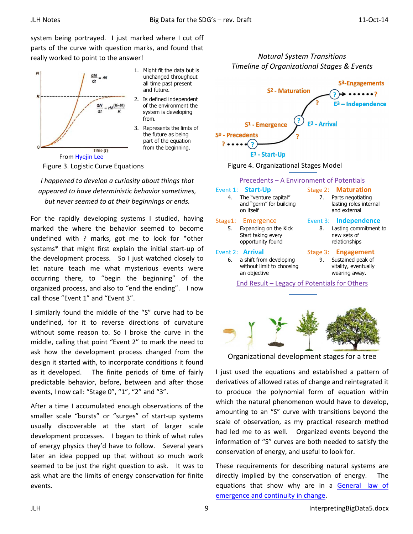system being portrayed. I just marked where I cut off parts of the curve with question marks, and found that really worked to point to the answer!



1. Might fit the data but is unchanged throughout all time past present and future.

- 2. Is defined independent of the environment the system is developing from.
- 3. Represents the limts of the future as being part of the equation from the beginning.

Figure 3. Logistic Curve Equations

I happened to develop a curiosity about things that appeared to have deterministic behavior sometimes, but never seemed to at their beginnings or ends.

For the rapidly developing systems I studied, having marked the where the behavior seemed to become undefined with ? marks, got me to look for \*other systems\* that might first explain the initial start-up of the development process. So I just watched closely to let nature teach me what mysterious events were occurring there, to "begin the beginning" of the organized process, and also to "end the ending". I now call those "Event 1" and "Event 3".

I similarly found the middle of the "S" curve had to be undefined, for it to reverse directions of curvature without some reason to. So I broke the curve in the middle, calling that point "Event 2" to mark the need to ask how the development process changed from the design it started with, to incorporate conditions it found as it developed. The finite periods of time of fairly predictable behavior, before, between and after those events, I now call: "Stage 0", "1", "2" and "3".

After a time I accumulated enough observations of the smaller scale "bursts" or "surges" of start-up systems usually discoverable at the start of larger scale development processes. I began to think of what rules of energy physics they'd have to follow. Several years later an idea popped up that without so much work seemed to be just the right question to ask. It was to ask what are the limits of energy conservation for finite events.



Natural System Transitions



| Precedents – A Environment of Potentials            |                                                                                                    |    |                                                                                          |
|-----------------------------------------------------|----------------------------------------------------------------------------------------------------|----|------------------------------------------------------------------------------------------|
|                                                     | Event 1: <b>Start-Up</b><br>4. The "venture capital"<br>and "germ" for building<br>on itself       | 7. | Stage 2: Maturation<br>Parts negotiating<br>lasting roles internal<br>and external       |
| 5.                                                  | Stage1: Emergence<br>Expanding on the Kick<br>Start taking every<br>opportunity found              | 8. | Event 3: Independence<br>Lasting commitment to<br>new sets of<br>relationships           |
|                                                     | Event 2: <b>Arrival</b><br>6. a shift from developing<br>without limit to choosing<br>an objective | 9. | Stage 3: <b>Engagement</b><br>Sustained peak of<br>vitality, eventually<br>wearing away. |
| <b>End Result - Legacy of Potentials for Others</b> |                                                                                                    |    |                                                                                          |
|                                                     |                                                                                                    |    |                                                                                          |



Organizational development stages for a tree

I just used the equations and established a pattern of derivatives of allowed rates of change and reintegrated it to produce the polynomial form of equation within which the natural phenomenon would have to develop, amounting to an "S" curve with transitions beyond the scale of observation, as my practical research method had led me to as well. Organized events beyond the information of "S" curves are both needed to satisfy the conservation of energy, and useful to look for.

These requirements for describing natural systems are directly implied by the conservation of energy. The equations that show why are in a General law of emergence and continuity in change.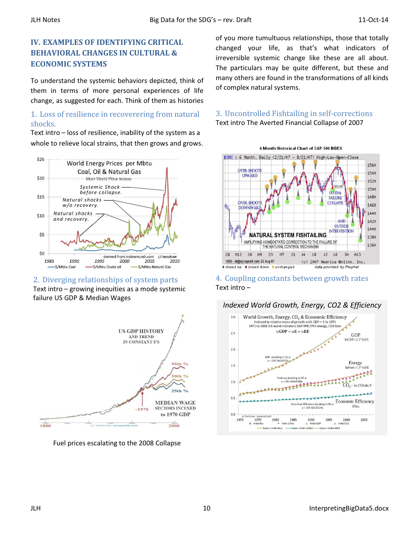## IV. EXAMPLES OF IDENTIFYING CRITICAL BEHAVIORAL CHANGES IN CULTURAL & ECONOMIC SYSTEMS

To understand the systemic behaviors depicted, think of them in terms of more personal experiences of life change, as suggested for each. Think of them as histories

## 1. Loss of resilience in recoverering from natural shocks.

Text intro – loss of resilience, inability of the system as a whole to relieve local strains, that then grows and grows.



2. Diverging relationships of system parts Text intro – growing inequities as a mode systemic

failure US GDP & Median Wages



Fuel prices escalating to the 2008 Collapse

of you more tumultuous relationships, those that totally changed your life, as that's what indicators of irreversible systemic change like these are all about. The particulars may be quite different, but these and many others are found in the transformations of all kinds of complex natural systems.

## 3. Uncontrolled Fishtailing in self-corrections Text intro The Averted Financial Collapse of 2007



## 4. Coupling constants between growth rates Text intro –



# Indexed World Growth, Energy, CO2 & Efficiency